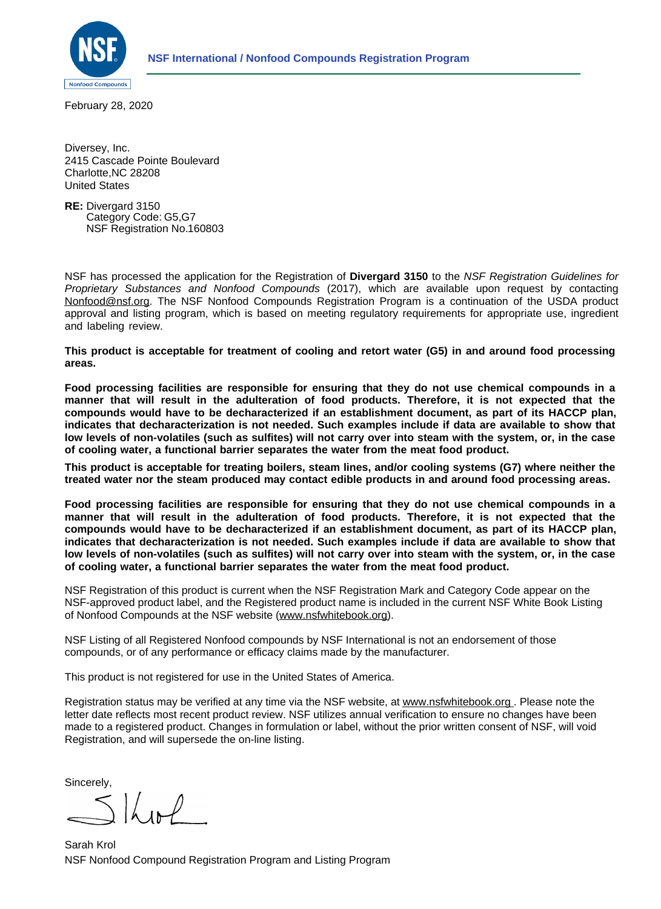

February 28, 2020

Diversey, Inc. 2415 Cascade Pointe Boulevard Charlotte,NC 28208 United States

**RE:** Divergard 3150 Category Code: G5,G7 NSF Registration No.160803

NSF has processed the application for the Registration of **Divergard 3150** to the *NSF Registration Guidelines for Proprietary Substances and Nonfood Compounds* (2017), which are available upon request by contacting [Nonfood@nsf.org](http://nonfood@nsf.org). The NSF Nonfood Compounds Registration Program is a continuation of the USDA product approval and listing program, which is based on meeting regulatory requirements for appropriate use, ingredient and labeling review.

**This product is acceptable for treatment of cooling and retort water (G5) in and around food processing areas.**

**Food processing facilities are responsible for ensuring that they do not use chemical compounds in a manner that will result in the adulteration of food products. Therefore, it is not expected that the compounds would have to be decharacterized if an establishment document, as part of its HACCP plan, indicates that decharacterization is not needed. Such examples include if data are available to show that low levels of non-volatiles (such as sulfites) will not carry over into steam with the system, or, in the case of cooling water, a functional barrier separates the water from the meat food product.**

**This product is acceptable for treating boilers, steam lines, and/or cooling systems (G7) where neither the treated water nor the steam produced may contact edible products in and around food processing areas.**

**Food processing facilities are responsible for ensuring that they do not use chemical compounds in a manner that will result in the adulteration of food products. Therefore, it is not expected that the compounds would have to be decharacterized if an establishment document, as part of its HACCP plan, indicates that decharacterization is not needed. Such examples include if data are available to show that low levels of non-volatiles (such as sulfites) will not carry over into steam with the system, or, in the case of cooling water, a functional barrier separates the water from the meat food product.**

NSF Registration of this product is current when the NSF Registration Mark and Category Code appear on the NSF-approved product label, and the Registered product name is included in the current NSF White Book Listing of Nonfood Compounds at the NSF website ([www.nsfwhitebook.org\)](http://www.nsfwhitebook.org).

NSF Listing of all Registered Nonfood compounds by NSF International is not an endorsement of those compounds, or of any performance or efficacy claims made by the manufacturer.

This product is not registered for use in the United States of America.

Registration status may be verified at any time via the NSF website, at [www.nsfwhitebook.org](http://www.nsfwhitebook.org). Please note the letter date reflects most recent product review. NSF utilizes annual verification to ensure no changes have been made to a registered product. Changes in formulation or label, without the prior written consent of NSF, will void Registration, and will supersede the on-line listing.

Sincerely,

 $5$   $\mu$   $\mu$ 

NSF Nonfood Compound Registration Program and Listing Program Sarah Krol